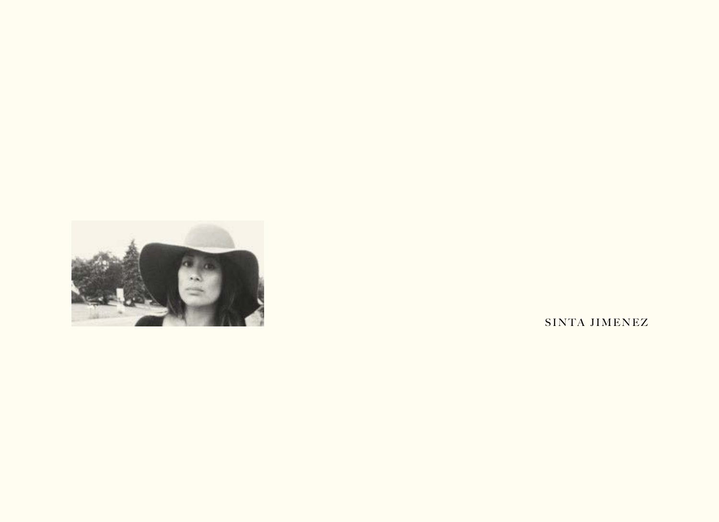

SINTA JIMENEZ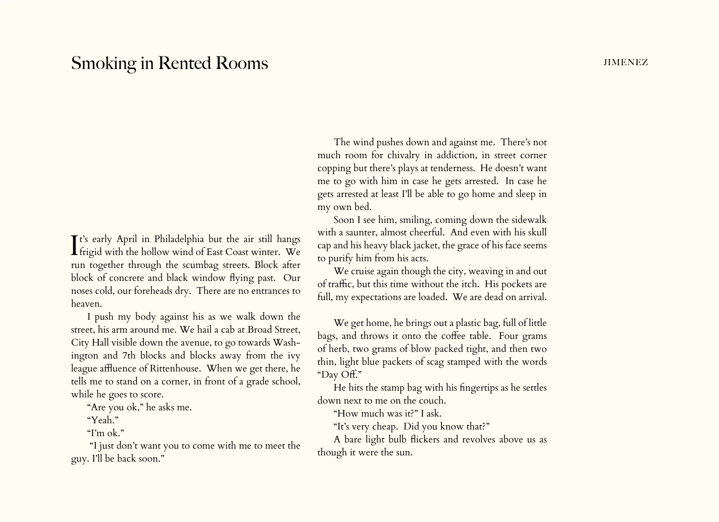## Smoking in Rented Rooms **in the Smoking in Rented Rooms**

It's early April in Philadelphia but the air still hangs<br>frigid with the hollow wind of East Coast winter. We It's early April in Philadelphia but the air still hangs run together through the scumbag streets. Block after block of concrete and black window flying past. Our noses cold, our foreheads dry. There are no entrances to heaven.

I push my body against his as we walk down the street, his arm around me. We hail a cab at Broad Street, City Hall visible down the avenue, to go towards Washington and 7th blocks and blocks away from the ivy league affluence of Rittenhouse. When we get there, he tells me to stand on a corner, in front of a grade school, while he goes to score.

"Are you ok," he asks me.

"Yeah."

"I'm ok."

 "I just don't want you to come with me to meet the guy. I'll be back soon."

The wind pushes down and against me. There's not much room for chivalry in addiction, in street corner copping but there's plays at tenderness. He doesn't want me to go with him in case he gets arrested. In case he gets arrested at least I'll be able to go home and sleep in my own bed.

Soon I see him, smiling, coming down the sidewalk with a saunter, almost cheerful. And even with his skull cap and his heavy black jacket, the grace of his face seems to purify him from his acts.

We cruise again though the city, weaving in and out of traffic, but this time without the itch. His pockets are full, my expectations are loaded. We are dead on arrival.

We get home, he brings out a plastic bag, full of little bags, and throws it onto the coffee table. Four grams of herb, two grams of blow packed tight, and then two thin, light blue packets of scag stamped with the words "Day Off."

He hits the stamp bag with his fingertips as he settles down next to me on the couch.

"How much was it?" I ask.

"It's very cheap. Did you know that?"

A bare light bulb flickers and revolves above us as though it were the sun.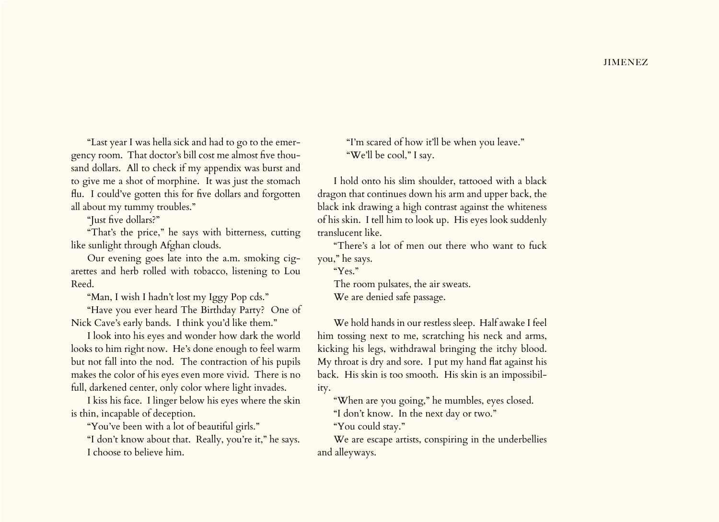"Last year I was hella sick and had to go to the emergency room. That doctor's bill cost me almost five thousand dollars. All to check if my appendix was burst and to give me a shot of morphine. It was just the stomach flu. I could've gotten this for five dollars and forgotten all about my tummy troubles."

"Just five dollars?"

"That's the price," he says with bitterness, cutting like sunlight through Afghan clouds.

Our evening goes late into the a.m. smoking cigarettes and herb rolled with tobacco, listening to Lou Reed.

"Man, I wish I hadn't lost my Iggy Pop cds."

"Have you ever heard The Birthday Party? One of Nick Cave's early bands. I think you'd like them."

I look into his eyes and wonder how dark the world looks to him right now. He's done enough to feel warm but not fall into the nod. The contraction of his pupils makes the color of his eyes even more vivid. There is no full, darkened center, only color where light invades.

I kiss his face. I linger below his eyes where the skin is thin, incapable of deception.

"You've been with a lot of beautiful girls."

"I don't know about that. Really, you're it," he says. I choose to believe him.

"I'm scared of how it'll be when you leave." "We'll be cool," I say.

I hold onto his slim shoulder, tattooed with a black dragon that continues down his arm and upper back, the black ink drawing a high contrast against the whiteness of his skin. I tell him to look up. His eyes look suddenly translucent like.

"There's a lot of men out there who want to fuck you," he says.

"Yes."

The room pulsates, the air sweats. We are denied safe passage.

We hold hands in our restless sleep. Half awake I feel him tossing next to me, scratching his neck and arms, kicking his legs, withdrawal bringing the itchy blood. My throat is dry and sore. I put my hand flat against his back. His skin is too smooth. His skin is an impossibility.

"When are you going," he mumbles, eyes closed.

"I don't know. In the next day or two."

"You could stay."

We are escape artists, conspiring in the underbellies and alleyways.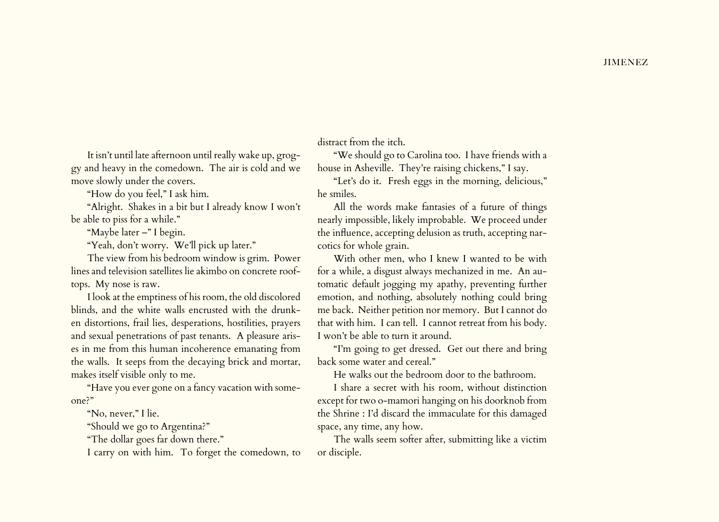It isn't until late afternoon until really wake up, groggy and heavy in the comedown. The air is cold and we move slowly under the covers.

"How do you feel," I ask him.

"Alright. Shakes in a bit but I already know I won't be able to piss for a while."

"Maybe later –" I begin.

"Yeah, don't worry. We'll pick up later."

The view from his bedroom window is grim. Power lines and television satellites lie akimbo on concrete rooftops. My nose is raw.

I look at the emptiness of his room, the old discolored blinds, and the white walls encrusted with the drunken distortions, frail lies, desperations, hostilities, prayers and sexual penetrations of past tenants. A pleasure arises in me from this human incoherence emanating from the walls. It seeps from the decaying brick and mortar, makes itself visible only to me.

"Have you ever gone on a fancy vacation with someone?"

"No, never," I lie.

"Should we go to Argentina?"

"The dollar goes far down there."

I carry on with him. To forget the comedown, to

distract from the itch.

"We should go to Carolina too. I have friends with a house in Asheville. They're raising chickens," I say.

"Let's do it. Fresh eggs in the morning, delicious," he smiles.

All the words make fantasies of a future of things nearly impossible, likely improbable. We proceed under the influence, accepting delusion as truth, accepting narcotics for whole grain.

With other men, who I knew I wanted to be with for a while, a disgust always mechanized in me. An automatic default jogging my apathy, preventing further emotion, and nothing, absolutely nothing could bring me back. Neither petition nor memory. But I cannot do that with him. I can tell. I cannot retreat from his body. I won't be able to turn it around.

"I'm going to get dressed. Get out there and bring back some water and cereal."

He walks out the bedroom door to the bathroom.

I share a secret with his room, without distinction except for two o-mamori hanging on his doorknob from the Shrine : I'd discard the immaculate for this damaged space, any time, any how.

The walls seem softer after, submitting like a victim or disciple.